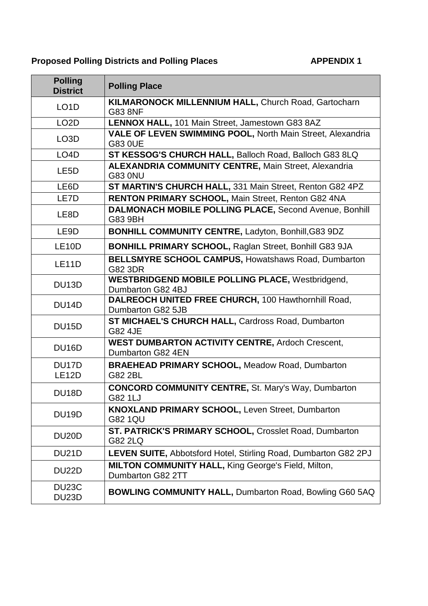| <b>Polling</b><br><b>District</b> | <b>Polling Place</b>                                                            |
|-----------------------------------|---------------------------------------------------------------------------------|
| LO <sub>1</sub> D                 | KILMARONOCK MILLENNIUM HALL, Church Road, Gartocharn<br><b>G83 8NF</b>          |
| LO <sub>2</sub> D                 | LENNOX HALL, 101 Main Street, Jamestown G83 8AZ                                 |
| LO <sub>3</sub> D                 | VALE OF LEVEN SWIMMING POOL, North Main Street, Alexandria<br>G83 0UE           |
| LO <sub>4</sub> D                 | ST KESSOG'S CHURCH HALL, Balloch Road, Balloch G83 8LQ                          |
| LE <sub>5</sub> D                 | <b>ALEXANDRIA COMMUNITY CENTRE, Main Street, Alexandria</b><br><b>G83 0NU</b>   |
| LE6D                              | ST MARTIN'S CHURCH HALL, 331 Main Street, Renton G82 4PZ                        |
| LE7D                              | RENTON PRIMARY SCHOOL, Main Street, Renton G82 4NA                              |
| LE <sub>8</sub> D                 | DALMONACH MOBILE POLLING PLACE, Second Avenue, Bonhill<br>G83 9BH               |
| LE9D                              | <b>BONHILL COMMUNITY CENTRE, Ladyton, Bonhill, G83 9DZ</b>                      |
| LE <sub>10</sub> D                | <b>BONHILL PRIMARY SCHOOL, Raglan Street, Bonhill G83 9JA</b>                   |
| <b>LE11D</b>                      | <b>BELLSMYRE SCHOOL CAMPUS, Howatshaws Road, Dumbarton</b><br>G82 3DR           |
| DU <sub>13</sub> D                | <b>WESTBRIDGEND MOBILE POLLING PLACE, Westbridgend,</b><br>Dumbarton G82 4BJ    |
| DU <sub>14</sub> D                | DALREOCH UNITED FREE CHURCH, 100 Hawthornhill Road,<br>Dumbarton G82 5JB        |
| <b>DU15D</b>                      | <b>ST MICHAEL'S CHURCH HALL, Cardross Road, Dumbarton</b><br>G82 4JE            |
| DU <sub>16</sub> D                | <b>WEST DUMBARTON ACTIVITY CENTRE, Ardoch Crescent,</b><br>Dumbarton G82 4EN    |
| DU17D<br><b>LE12D</b>             | <b>BRAEHEAD PRIMARY SCHOOL, Meadow Road, Dumbarton</b><br>G82 2BL               |
| DU18D                             | <b>CONCORD COMMUNITY CENTRE, St. Mary's Way, Dumbarton</b><br>G82 1LJ           |
| <b>DU19D</b>                      | <b>KNOXLAND PRIMARY SCHOOL, Leven Street, Dumbarton</b><br><b>G82 1QU</b>       |
| DU <sub>20</sub> D                | ST. PATRICK'S PRIMARY SCHOOL, Crosslet Road, Dumbarton<br>G82 2LQ               |
| <b>DU21D</b>                      | LEVEN SUITE, Abbotsford Hotel, Stirling Road, Dumbarton G82 2PJ                 |
| DU22D                             | <b>MILTON COMMUNITY HALL, King George's Field, Milton,</b><br>Dumbarton G82 2TT |
| DU23C<br>DU <sub>23</sub> D       | <b>BOWLING COMMUNITY HALL, Dumbarton Road, Bowling G60 5AQ</b>                  |